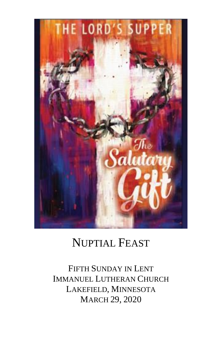

# NUPTIAL FEAST

FIFTH SUNDAY IN LENT IMMANUEL LUTHERAN CHURCH LAKEFIELD, MINNESOTA MARCH 29, 2020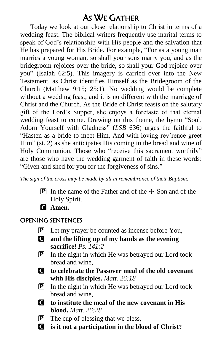## AS WE GATHER

Today we look at our close relationship to Christ in terms of a wedding feast. The biblical writers frequently use marital terms to speak of God's relationship with His people and the salvation that He has prepared for His Bride. For example, "For as a young man marries a young woman, so shall your sons marry you, and as the bridegroom rejoices over the bride, so shall your God rejoice over you" (Isaiah 62:5). This imagery is carried over into the New Testament, as Christ identifies Himself as the Bridegroom of the Church (Matthew 9:15; 25:1). No wedding would be complete without a wedding feast, and it is no different with the marriage of Christ and the Church. As the Bride of Christ feasts on the salutary gift of the Lord's Supper, she enjoys a foretaste of that eternal wedding feast to come. Drawing on this theme, the hymn "Soul, Adorn Yourself with Gladness" (*LSB* 636) urges the faithful to "Hasten as a bride to meet Him, And with loving rev'rence greet Him" (st. 2) as she anticipates His coming in the bread and wine of Holy Communion. Those who "receive this sacrament worthily" are those who have the wedding garment of faith in these words: "Given and shed for you for the forgiveness of sins."

*The sign of the cross may be made by all in remembrance of their Baptism.*

- **P** In the name of the Father and of the  $\pm$  Son and of the Holy Spirit.
- C **Amen.**

### OPENING SENTENCES

- $\mathbf{P}$  Let my prayer be counted as incense before You,
- C **and the lifting up of my hands as the evening sacrifice!** *Ps. 141:2*
- P In the night in which He was betrayed our Lord took bread and wine,
- C **to celebrate the Passover meal of the old covenant with His disciples.** *Matt. 26:18*
- $\boxed{\mathbf{P}}$  In the night in which He was betrayed our Lord took bread and wine,
- C **to institute the meal of the new covenant in His blood.** *Matt. 26:28*
- $[P]$  The cup of blessing that we bless,
- C **is it not a participation in the blood of Christ?**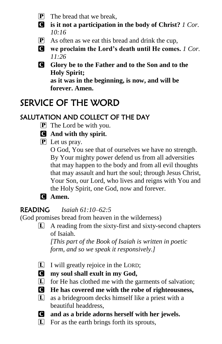- $\left| \mathbf{P} \right|$  The bread that we break,
- C **is it not a participation in the body of Christ?** *1 Cor. 10:16*
- P As often as we eat this bread and drink the cup,
- C **we proclaim the Lord's death until He comes.** *1 Cor. 11:26*
- C **Glory be to the Father and to the Son and to the Holy Spirit; as it was in the beginning, is now, and will be forever. Amen.**

# SERVICE OF THE WORD

## SALUTATION AND COLLECT OF THE DAY

- P The Lord be with you.
- C **And with thy spirit.**
- P Let us pray.

O God, You see that of ourselves we have no strength. By Your mighty power defend us from all adversities that may happen to the body and from all evil thoughts that may assault and hurt the soul; through Jesus Christ, Your Son, our Lord, who lives and reigns with You and the Holy Spirit, one God, now and forever.

C **Amen.**

### READING *Isaiah 61:10–62:5*

(God promises bread from heaven in the wilderness)

 $\Box$  A reading from the sixty-first and sixty-second chapters of Isaiah.

*[This part of the Book of Isaiah is written in poetic form, and so we speak it responsively.]*

- $\Box$  I will greatly rejoice in the LORD;
- C **my soul shall exult in my God,**
- $\boxed{\mathbf{L}}$  for He has clothed me with the garments of salvation;
- C **He has covered me with the robe of righteousness,**
- L as a bridegroom decks himself like a priest with a beautiful headdress,
- C **and as a bride adorns herself with her jewels.**
- L For as the earth brings forth its sprouts,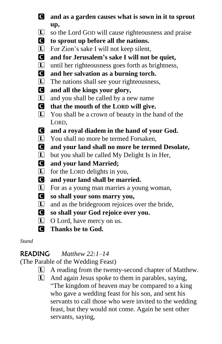- C **and as a garden causes what is sown in it to sprout up,**
- $\boxed{\mathbf{L}}$  so the Lord GOD will cause righteousness and praise
- C **to sprout up before all the nations.**
- L For Zion's sake I will not keep silent,
- C **and for Jerusalem's sake I will not be quiet,**
- L until her righteousness goes forth as brightness,
- C **and her salvation as a burning torch.**
- L The nations shall see your righteousness,
- C **and all the kings your glory,**
- $\boxed{\mathbf{L}}$  and you shall be called by a new name
- C **that the mouth of the LORD will give.**
- L You shall be a crown of beauty in the hand of the LORD,

C **and a royal diadem in the hand of your God.**

- L You shall no more be termed Forsaken,
- C **and your land shall no more be termed Desolate,**
- $\boxed{\mathbf{L}}$  but you shall be called My Delight Is in Her,
- C **and your land Married;**
- $\boxed{\mathbf{L}}$  for the LORD delights in you,
- C **and your land shall be married.**
- L For as a young man marries a young woman,
- C **so shall your sons marry you,**
- L and as the bridegroom rejoices over the bride,
- C **so shall your God rejoice over you.**
- L O Lord, have mercy on us.
- C **Thanks be to God.**

*Stand*

### READING *Matthew 22:1–14*

(The Parable of the Wedding Feast)

- L A reading from the twenty-second chapter of Matthew.
- L And again Jesus spoke to them in parables, saying, "The kingdom of heaven may be compared to a king who gave a wedding feast for his son, and sent his servants to call those who were invited to the wedding feast, but they would not come. Again he sent other servants, saying,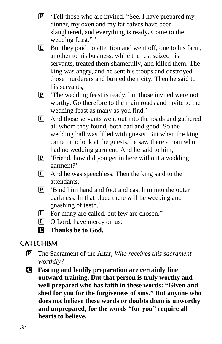- $\mathbf{P}$  'Tell those who are invited, "See, I have prepared my dinner, my oxen and my fat calves have been slaughtered, and everything is ready. Come to the wedding feast."'
- L But they paid no attention and went off, one to his farm, another to his business, while the rest seized his servants, treated them shamefully, and killed them. The king was angry, and he sent his troops and destroyed those murderers and burned their city. Then he said to his servants,
- P 'The wedding feast is ready, but those invited were not worthy. Go therefore to the main roads and invite to the wedding feast as many as you find.'
- L And those servants went out into the roads and gathered all whom they found, both bad and good. So the wedding hall was filled with guests. But when the king came in to look at the guests, he saw there a man who had no wedding garment. And he said to him,
- $\boxed{\mathbf{P}}$  'Friend, how did you get in here without a wedding garment?'
- L And he was speechless. Then the king said to the attendants,
- $\mathbf{P}$  'Bind him hand and foot and cast him into the outer darkness. In that place there will be weeping and gnashing of teeth.'
- L For many are called, but few are chosen."
- L O Lord, have mercy on us.
- C **Thanks be to God.**

### **CATECHISM**

- P The Sacrament of the Altar, *Who receives this sacrament worthily?*
- C **Fasting and bodily preparation are certainly fine outward training. But that person is truly worthy and well prepared who has faith in these words: "Given and shed for you for the forgiveness of sins." But anyone who does not believe these words or doubts them is unworthy and unprepared, for the words "for you" require all hearts to believe.**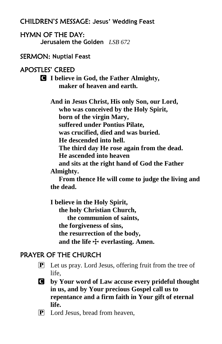#### CHILDREN'S MESSAGE**: Jesus' Wedding Feast**

#### HYMN OF THE DAY: **Jerusalem the Golden** *LSB 672*

#### SERMON: **Nuptial Feast**

#### APOSTLES' CREED

C **I believe in God, the Father Almighty, maker of heaven and earth.**

**And in Jesus Christ, His only Son, our Lord, who was conceived by the Holy Spirit, born of the virgin Mary, suffered under Pontius Pilate, was crucified, died and was buried. He descended into hell. The third day He rose again from the dead. He ascended into heaven and sits at the right hand of God the Father** 

#### **Almighty.**

 **From thence He will come to judge the living and the dead.**

**I believe in the Holy Spirit, the holy Christian Church, the communion of saints, the forgiveness of sins, the resurrection of the body,** and the life  $\bigoplus$  **everlasting.** Amen.

### PRAYER OF THE CHURCH

- $\mathbf{P}$  Let us pray. Lord Jesus, offering fruit from the tree of life,
- C **by Your word of Law accuse every prideful thought in us, and by Your precious Gospel call us to repentance and a firm faith in Your gift of eternal life.**
- P Lord Jesus, bread from heaven,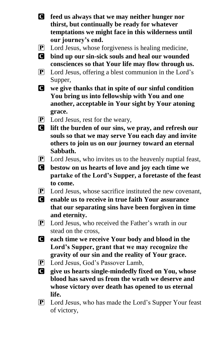- C **feed us always that we may neither hunger nor thirst, but continually be ready for whatever temptations we might face in this wilderness until our journey's end.**
- P Lord Jesus, whose forgiveness is healing medicine,
- C **bind up our sin-sick souls and heal our wounded consciences so that Your life may flow through us.**
- P Lord Jesus, offering a blest communion in the Lord's Supper,
- C **we give thanks that in spite of our sinful condition You bring us into fellowship with You and one another, acceptable in Your sight by Your atoning grace.**
- P Lord Jesus, rest for the weary,
- C **lift the burden of our sins, we pray, and refresh our souls so that we may serve You each day and invite others to join us on our journey toward an eternal Sabbath.**
- $\mathbf{P}$  Lord Jesus, who invites us to the heavenly nuptial feast,
- C **bestow on us hearts of love and joy each time we partake of the Lord's Supper, a foretaste of the feast to come.**
- $\boxed{\mathbf{P}}$  Lord Jesus, whose sacrifice instituted the new covenant,
- C **enable us to receive in true faith Your assurance that our separating sins have been forgiven in time and eternity.**
- $\bf{P}$  Lord Jesus, who received the Father's wrath in our stead on the cross,
- C **each time we receive Your body and blood in the Lord's Supper, grant that we may recognize the gravity of our sin and the reality of Your grace.**
- P Lord Jesus, God's Passover Lamb,
- C **give us hearts single-mindedly fixed on You, whose blood has saved us from the wrath we deserve and whose victory over death has opened to us eternal life.**
- P Lord Jesus, who has made the Lord's Supper Your feast of victory,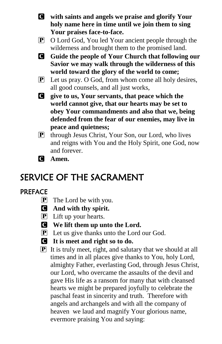- C **with saints and angels we praise and glorify Your holy name here in time until we join them to sing Your praises face-to-face.**
- P O Lord God, You led Your ancient people through the wilderness and brought them to the promised land.
- C **Guide the people of Your Church that following our Savior we may walk through the wilderness of this world toward the glory of the world to come;**
- $\mathbf{P}$  Let us pray. O God, from whom come all holy desires, all good counsels, and all just works,

C **give to us, Your servants, that peace which the world cannot give, that our hearts may be set to obey Your commandments and also that we, being defended from the fear of our enemies, may live in peace and quietness;** 

- P through Jesus Christ, Your Son, our Lord, who lives and reigns with You and the Holy Spirit, one God, now and forever.
- C **Amen.**

## SERVICE OF THE SACRAMENT

### PREFACE

- P The Lord be with you.
- C **And with thy spirit.**
- P Lift up your hearts.
- C **We lift them up unto the Lord.**
- **P** Let us give thanks unto the Lord our God.
- C **It is meet and right so to do.**
- $\boxed{\mathbf{P}}$  It is truly meet, right, and salutary that we should at all times and in all places give thanks to You, holy Lord, almighty Father, everlasting God, through Jesus Christ, our Lord, who overcame the assaults of the devil and gave His life as a ransom for many that with cleansed hearts we might be prepared joyfully to celebrate the paschal feast in sincerity and truth. Therefore with angels and archangels and with all the company of heaven we laud and magnify Your glorious name, evermore praising You and saying: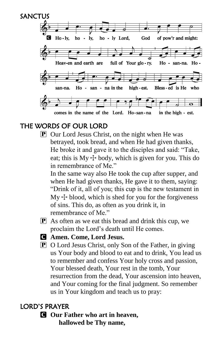

### THE WORDS OF OUR LORD

 $\mathbf{P}$  Our Lord Jesus Christ, on the night when He was betrayed, took bread, and when He had given thanks, He broke it and gave it to the disciples and said: "Take, eat; this is  $My + body$ , which is given for you. This do in remembrance of Me."

In the same way also He took the cup after supper, and when He had given thanks, He gave it to them, saying: "Drink of it, all of you; this cup is the new testament in  $My + blood$ , which is shed for you for the forgiveness of sins. This do, as often as you drink it, in remembrance of Me."

- $\mathbf{P}$  As often as we eat this bread and drink this cup, we proclaim the Lord's death until He comes.
- 
- C **Amen. Come, Lord Jesus.**
	- P O Lord Jesus Christ, only Son of the Father, in giving us Your body and blood to eat and to drink, You lead us to remember and confess Your holy cross and passion, Your blessed death, Your rest in the tomb, Your resurrection from the dead, Your ascension into heaven, and Your coming for the final judgment. So remember us in Your kingdom and teach us to pray:

### LORD'S PRAYER

C **Our Father who art in heaven, hallowed be Thy name,**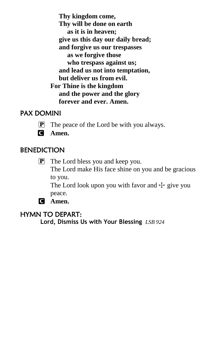**Thy kingdom come, Thy will be done on earth as it is in heaven; give us this day our daily bread; and forgive us our trespasses as we forgive those who trespass against us; and lead us not into temptation, but deliver us from evil. For Thine is the kingdom and the power and the glory forever and ever. Amen.**

#### PAX DOMINI

- P The peace of the Lord be with you always.
- C **Amen.**

#### **BENEDICTION**

P The Lord bless you and keep you. The Lord make His face shine on you and be gracious to you.

The Lord look upon you with favor and  $\pm$  give you peace.

C **Amen.**

#### HYMN TO DEPART:

**Lord, Dismiss Us with Your Blessing** *LSB 924*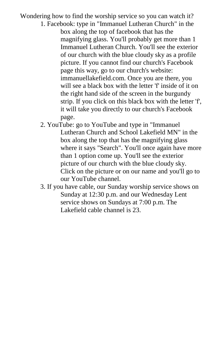Wondering how to find the worship service so you can watch it?

- 1. Facebook: type in "Immanuel Lutheran Church" in the box along the top of facebook that has the magnifying glass. You'll probably get more than 1 Immanuel Lutheran Church. You'll see the exterior of our church with the blue cloudy sky as a profile picture. If you cannot find our church's Facebook page this way, go to our church's website: immanuellakefield.com. Once you are there, you will see a black box with the letter 'f' inside of it on the right hand side of the screen in the burgundy strip. If you click on this black box with the letter 'f', it will take you directly to our church's Facebook page.
- 2. YouTube: go to YouTube and type in "Immanuel Lutheran Church and School Lakefield MN" in the box along the top that has the magnifying glass where it says "Search". You'll once again have more than 1 option come up. You'll see the exterior picture of our church with the blue cloudy sky. Click on the picture or on our name and you'll go to our YouTube channel.
- 3. If you have cable, our Sunday worship service shows on Sunday at 12:30 p.m. and our Wednesday Lent service shows on Sundays at 7:00 p.m. The Lakefield cable channel is 23.